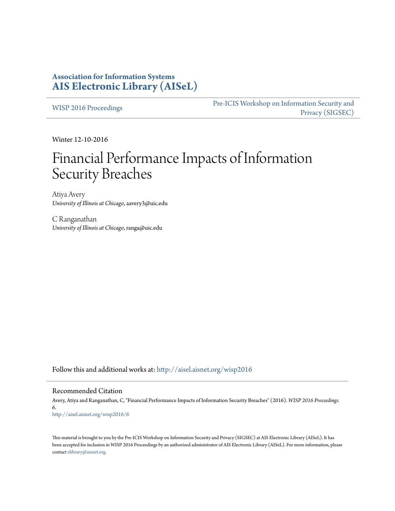## **Association for Information Systems [AIS Electronic Library \(AISeL\)](http://aisel.aisnet.org?utm_source=aisel.aisnet.org%2Fwisp2016%2F6&utm_medium=PDF&utm_campaign=PDFCoverPages)**

[WISP 2016 Proceedings](http://aisel.aisnet.org/wisp2016?utm_source=aisel.aisnet.org%2Fwisp2016%2F6&utm_medium=PDF&utm_campaign=PDFCoverPages)

[Pre-ICIS Workshop on Information Security and](http://aisel.aisnet.org/sigsec?utm_source=aisel.aisnet.org%2Fwisp2016%2F6&utm_medium=PDF&utm_campaign=PDFCoverPages) [Privacy \(SIGSEC\)](http://aisel.aisnet.org/sigsec?utm_source=aisel.aisnet.org%2Fwisp2016%2F6&utm_medium=PDF&utm_campaign=PDFCoverPages)

Winter 12-10-2016

# Financial Performance Impacts of Information Security Breaches

Atiya Avery *University of Illinois at Chicago*, aavery3@uic.edu

C Ranganathan *University of Illinois at Chicago*, ranga@uic.edu

Follow this and additional works at: [http://aisel.aisnet.org/wisp2016](http://aisel.aisnet.org/wisp2016?utm_source=aisel.aisnet.org%2Fwisp2016%2F6&utm_medium=PDF&utm_campaign=PDFCoverPages)

#### Recommended Citation

Avery, Atiya and Ranganathan, C, "Financial Performance Impacts of Information Security Breaches" (2016). *WISP 2016 Proceedings*. 6. [http://aisel.aisnet.org/wisp2016/6](http://aisel.aisnet.org/wisp2016/6?utm_source=aisel.aisnet.org%2Fwisp2016%2F6&utm_medium=PDF&utm_campaign=PDFCoverPages)

This material is brought to you by the Pre-ICIS Workshop on Information Security and Privacy (SIGSEC) at AIS Electronic Library (AISeL). It has been accepted for inclusion in WISP 2016 Proceedings by an authorized administrator of AIS Electronic Library (AISeL). For more information, please contact [elibrary@aisnet.org.](mailto:elibrary@aisnet.org%3E)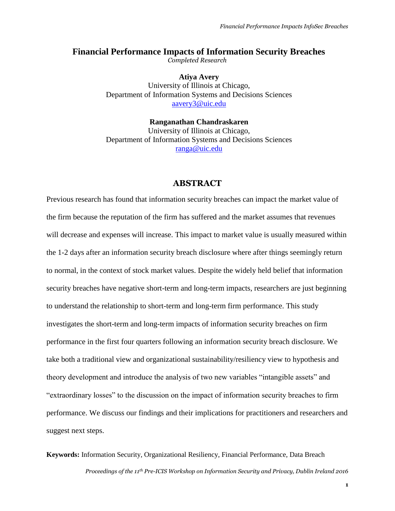## **Financial Performance Impacts of Information Security Breaches**

*Completed Research*

**Atiya Avery** University of Illinois at Chicago, Department of Information Systems and Decisions Sciences [aavery3@uic.edu](mailto:aavery3@uic.edu)

**Ranganathan Chandraskaren** University of Illinois at Chicago, Department of Information Systems and Decisions Sciences [ranga@uic.edu](mailto:ranga@uic.edu)

## **ABSTRACT**

Previous research has found that information security breaches can impact the market value of the firm because the reputation of the firm has suffered and the market assumes that revenues will decrease and expenses will increase. This impact to market value is usually measured within the 1-2 days after an information security breach disclosure where after things seemingly return to normal, in the context of stock market values. Despite the widely held belief that information security breaches have negative short-term and long-term impacts, researchers are just beginning to understand the relationship to short-term and long-term firm performance. This study investigates the short-term and long-term impacts of information security breaches on firm performance in the first four quarters following an information security breach disclosure. We take both a traditional view and organizational sustainability/resiliency view to hypothesis and theory development and introduce the analysis of two new variables "intangible assets" and "extraordinary losses" to the discussion on the impact of information security breaches to firm performance. We discuss our findings and their implications for practitioners and researchers and suggest next steps.

*Proceedings of the 11th Pre-ICIS Workshop on Information Security and Privacy, Dublin Ireland 2016*  **Keywords:** Information Security, Organizational Resiliency, Financial Performance, Data Breach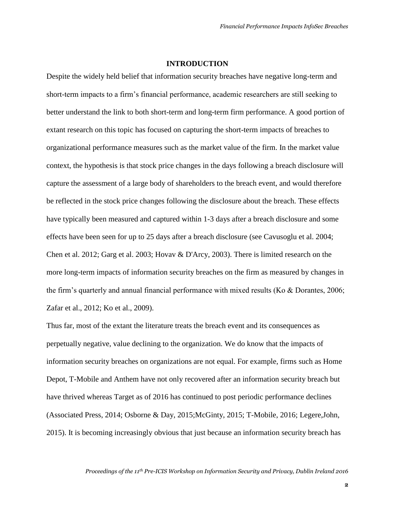## **INTRODUCTION**

Despite the widely held belief that information security breaches have negative long-term and short-term impacts to a firm's financial performance, academic researchers are still seeking to better understand the link to both short-term and long-term firm performance. A good portion of extant research on this topic has focused on capturing the short-term impacts of breaches to organizational performance measures such as the market value of the firm. In the market value context, the hypothesis is that stock price changes in the days following a breach disclosure will capture the assessment of a large body of shareholders to the breach event, and would therefore be reflected in the stock price changes following the disclosure about the breach. These effects have typically been measured and captured within 1-3 days after a breach disclosure and some effects have been seen for up to 25 days after a breach disclosure (see Cavusoglu et al. 2004; Chen et al. 2012; Garg et al. 2003; Hovav & D'Arcy, 2003). There is limited research on the more long-term impacts of information security breaches on the firm as measured by changes in the firm's quarterly and annual financial performance with mixed results (Ko & Dorantes, 2006; Zafar et al., 2012; Ko et al., 2009).

Thus far, most of the extant the literature treats the breach event and its consequences as perpetually negative, value declining to the organization. We do know that the impacts of information security breaches on organizations are not equal. For example, firms such as Home Depot, T-Mobile and Anthem have not only recovered after an information security breach but have thrived whereas Target as of 2016 has continued to post periodic performance declines (Associated Press, 2014; Osborne & Day, 2015;McGinty, 2015; T-Mobile, 2016; Legere,John, 2015). It is becoming increasingly obvious that just because an information security breach has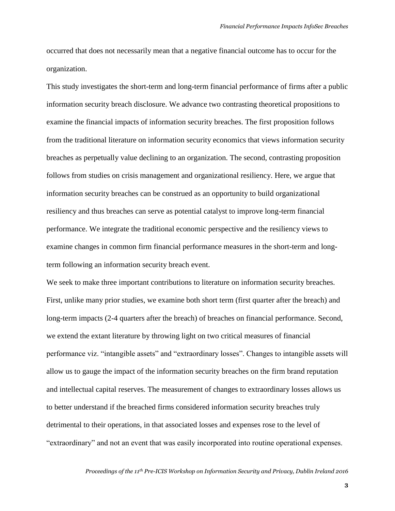occurred that does not necessarily mean that a negative financial outcome has to occur for the organization.

This study investigates the short-term and long-term financial performance of firms after a public information security breach disclosure. We advance two contrasting theoretical propositions to examine the financial impacts of information security breaches. The first proposition follows from the traditional literature on information security economics that views information security breaches as perpetually value declining to an organization. The second, contrasting proposition follows from studies on crisis management and organizational resiliency. Here, we argue that information security breaches can be construed as an opportunity to build organizational resiliency and thus breaches can serve as potential catalyst to improve long-term financial performance. We integrate the traditional economic perspective and the resiliency views to examine changes in common firm financial performance measures in the short-term and longterm following an information security breach event.

We seek to make three important contributions to literature on information security breaches. First, unlike many prior studies, we examine both short term (first quarter after the breach) and long-term impacts (2-4 quarters after the breach) of breaches on financial performance. Second, we extend the extant literature by throwing light on two critical measures of financial performance viz. "intangible assets" and "extraordinary losses". Changes to intangible assets will allow us to gauge the impact of the information security breaches on the firm brand reputation and intellectual capital reserves. The measurement of changes to extraordinary losses allows us to better understand if the breached firms considered information security breaches truly detrimental to their operations, in that associated losses and expenses rose to the level of "extraordinary" and not an event that was easily incorporated into routine operational expenses.

#### *Proceedings of the 11th Pre-ICIS Workshop on Information Security and Privacy, Dublin Ireland 2016*

**3**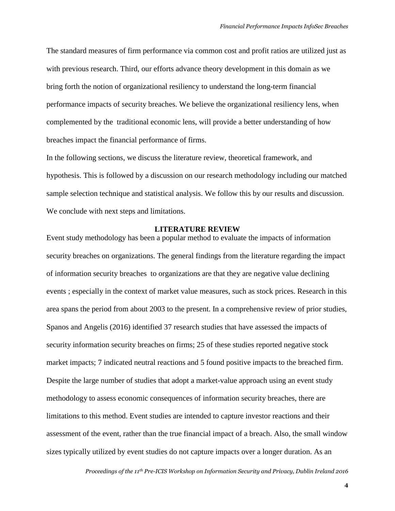The standard measures of firm performance via common cost and profit ratios are utilized just as with previous research. Third, our efforts advance theory development in this domain as we bring forth the notion of organizational resiliency to understand the long-term financial performance impacts of security breaches. We believe the organizational resiliency lens, when complemented by the traditional economic lens, will provide a better understanding of how breaches impact the financial performance of firms.

In the following sections, we discuss the literature review, theoretical framework, and hypothesis. This is followed by a discussion on our research methodology including our matched sample selection technique and statistical analysis. We follow this by our results and discussion. We conclude with next steps and limitations.

## **LITERATURE REVIEW**

Event study methodology has been a popular method to evaluate the impacts of information security breaches on organizations. The general findings from the literature regarding the impact of information security breaches to organizations are that they are negative value declining events ; especially in the context of market value measures, such as stock prices. Research in this area spans the period from about 2003 to the present. In a comprehensive review of prior studies, Spanos and Angelis (2016) identified 37 research studies that have assessed the impacts of security information security breaches on firms; 25 of these studies reported negative stock market impacts; 7 indicated neutral reactions and 5 found positive impacts to the breached firm. Despite the large number of studies that adopt a market-value approach using an event study methodology to assess economic consequences of information security breaches, there are limitations to this method. Event studies are intended to capture investor reactions and their assessment of the event, rather than the true financial impact of a breach. Also, the small window sizes typically utilized by event studies do not capture impacts over a longer duration. As an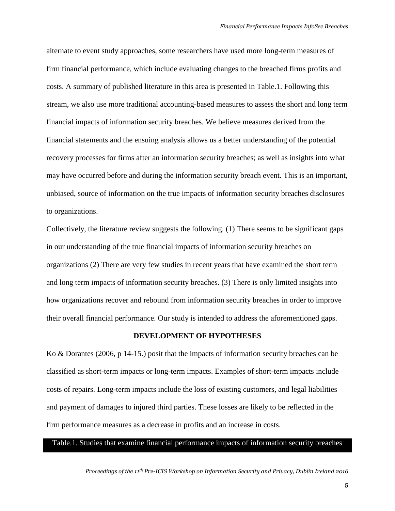alternate to event study approaches, some researchers have used more long-term measures of firm financial performance, which include evaluating changes to the breached firms profits and costs. A summary of published literature in this area is presented in Table.1. Following this stream, we also use more traditional accounting-based measures to assess the short and long term financial impacts of information security breaches. We believe measures derived from the financial statements and the ensuing analysis allows us a better understanding of the potential recovery processes for firms after an information security breaches; as well as insights into what may have occurred before and during the information security breach event. This is an important, unbiased, source of information on the true impacts of information security breaches disclosures to organizations.

Collectively, the literature review suggests the following. (1) There seems to be significant gaps in our understanding of the true financial impacts of information security breaches on organizations (2) There are very few studies in recent years that have examined the short term and long term impacts of information security breaches. (3) There is only limited insights into how organizations recover and rebound from information security breaches in order to improve their overall financial performance. Our study is intended to address the aforementioned gaps.

#### **DEVELOPMENT OF HYPOTHESES**

Ko & Dorantes (2006, p 14-15.) posit that the impacts of information security breaches can be classified as short-term impacts or long-term impacts. Examples of short-term impacts include costs of repairs. Long-term impacts include the loss of existing customers, and legal liabilities and payment of damages to injured third parties. These losses are likely to be reflected in the firm performance measures as a decrease in profits and an increase in costs.

#### Table.1. Studies that examine financial performance impacts of information security breaches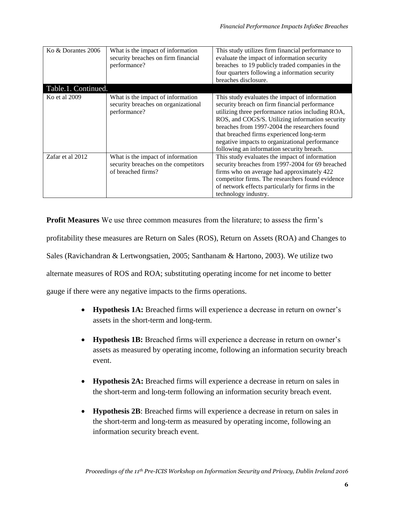| Ko & Dorantes 2006                   | What is the impact of information<br>security breaches on firm financial<br>performance?        | This study utilizes firm financial performance to<br>evaluate the impact of information security<br>breaches to 19 publicly traded companies in the<br>four quarters following a information security<br>breaches disclosure.                                                                                                                                                                        |
|--------------------------------------|-------------------------------------------------------------------------------------------------|------------------------------------------------------------------------------------------------------------------------------------------------------------------------------------------------------------------------------------------------------------------------------------------------------------------------------------------------------------------------------------------------------|
| Table.1. Continued.<br>Ko et al 2009 | What is the impact of information<br>security breaches on organizational<br>performance?        | This study evaluates the impact of information<br>security breach on firm financial performance<br>utilizing three performance ratios including ROA,<br>ROS, and COGS/S. Utilizing information security<br>breaches from 1997-2004 the researchers found<br>that breached firms experienced long-term<br>negative impacts to organizational performance<br>following an information security breach. |
| Zafar et al 2012                     | What is the impact of information<br>security breaches on the competitors<br>of breached firms? | This study evaluates the impact of information<br>security breaches from 1997-2004 for 69 breached<br>firms who on average had approximately 422<br>competitor firms. The researchers found evidence<br>of network effects particularly for firms in the<br>technology industry.                                                                                                                     |

**Profit Measures** We use three common measures from the literature; to assess the firm's profitability these measures are Return on Sales (ROS), Return on Assets (ROA) and Changes to Sales (Ravichandran & Lertwongsatien, 2005; Santhanam & Hartono, 2003). We utilize two alternate measures of ROS and ROA; substituting operating income for net income to better gauge if there were any negative impacts to the firms operations.

- **Hypothesis 1A:** Breached firms will experience a decrease in return on owner's assets in the short-term and long-term.
- **Hypothesis 1B:** Breached firms will experience a decrease in return on owner's assets as measured by operating income, following an information security breach event.
- **Hypothesis 2A:** Breached firms will experience a decrease in return on sales in the short-term and long-term following an information security breach event.
- **Hypothesis 2B**: Breached firms will experience a decrease in return on sales in the short-term and long-term as measured by operating income, following an information security breach event.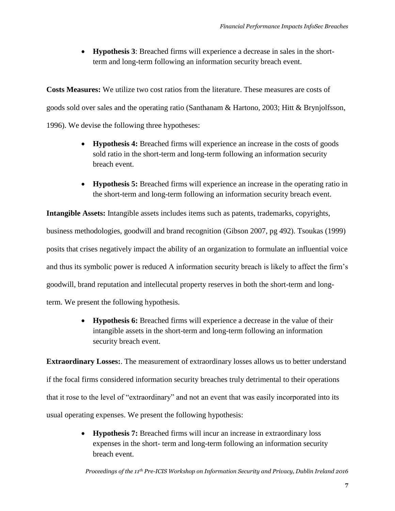• **Hypothesis 3**: Breached firms will experience a decrease in sales in the shortterm and long-term following an information security breach event.

**Costs Measures:** We utilize two cost ratios from the literature. These measures are costs of goods sold over sales and the operating ratio (Santhanam & Hartono, 2003; Hitt & Brynjolfsson, 1996). We devise the following three hypotheses:

- **Hypothesis 4:** Breached firms will experience an increase in the costs of goods sold ratio in the short-term and long-term following an information security breach event.
- **Hypothesis 5:** Breached firms will experience an increase in the operating ratio in the short-term and long-term following an information security breach event.

**Intangible Assets:** Intangible assets includes items such as patents, trademarks, copyrights, business methodologies, goodwill and brand recognition (Gibson 2007, pg 492). Tsoukas (1999) posits that crises negatively impact the ability of an organization to formulate an influential voice and thus its symbolic power is reduced A information security breach is likely to affect the firm's goodwill, brand reputation and intellecutal property reserves in both the short-term and longterm. We present the following hypothesis.

> • **Hypothesis 6:** Breached firms will experience a decrease in the value of their intangible assets in the short-term and long-term following an information security breach event.

**Extraordinary Losses:**. The measurement of extraordinary losses allows us to better understand if the focal firms considered information security breaches truly detrimental to their operations that it rose to the level of "extraordinary" and not an event that was easily incorporated into its usual operating expenses. We present the following hypothesis:

> • **Hypothesis 7:** Breached firms will incur an increase in extraordinary loss expenses in the short- term and long-term following an information security breach event.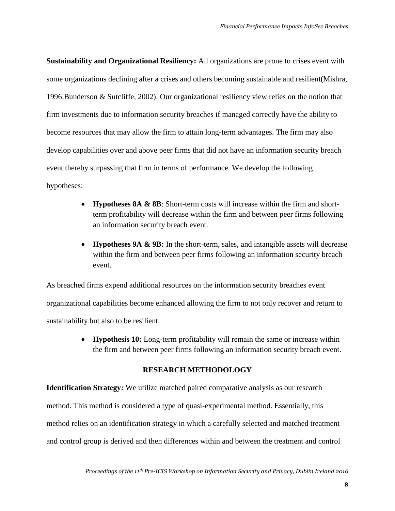**Sustainability and Organizational Resiliency:** All organizations are prone to crises event with some organizations declining after a crises and others becoming sustainable and resilient(Mishra, 1996;Bunderson & Sutcliffe, 2002). Our organizational resiliency view relies on the notion that firm investments due to information security breaches if managed correctly have the ability to become resources that may allow the firm to attain long-term advantages. The firm may also develop capabilities over and above peer firms that did not have an information security breach event thereby surpassing that firm in terms of performance. We develop the following hypotheses:

- **Hypotheses 8A & 8B**: Short-term costs will increase within the firm and shortterm profitability will decrease within the firm and between peer firms following an information security breach event.
- **Hypotheses 9A & 9B:** In the short-term, sales, and intangible assets will decrease within the firm and between peer firms following an information security breach event.

As breached firms expend additional resources on the information security breaches event organizational capabilities become enhanced allowing the firm to not only recover and return to sustainability but also to be resilient.

> • **Hypothesis 10:** Long-term profitability will remain the same or increase within the firm and between peer firms following an information security breach event.

## **RESEARCH METHODOLOGY**

**Identification Strategy:** We utilize matched paired comparative analysis as our research method. This method is considered a type of quasi-experimental method. Essentially, this method relies on an identification strategy in which a carefully selected and matched treatment and control group is derived and then differences within and between the treatment and control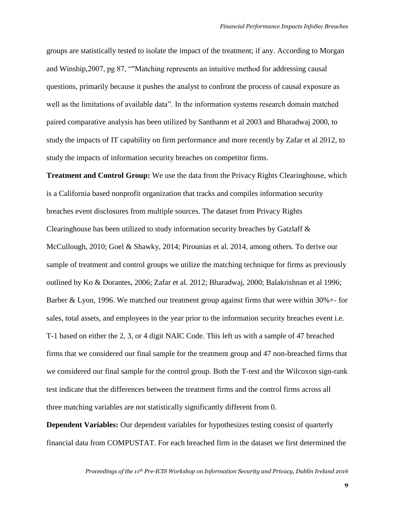groups are statistically tested to isolate the impact of the treatment; if any. According to Morgan and Winship,2007, pg 87, ""Matching represents an intuitive method for addressing causal questions, primarily because it pushes the analyst to confront the process of causal exposure as well as the limitations of available data". In the information systems research domain matched paired comparative analysis has been utilized by Santhanm et al 2003 and Bharadwaj 2000, to study the impacts of IT capability on firm performance and more recently by Zafar et al 2012, to study the impacts of information security breaches on competitor firms.

**Treatment and Control Group:** We use the data from the Privacy Rights Clearinghouse, which is a California based nonprofit organization that tracks and compiles information security breaches event disclosures from multiple sources. The dataset from Privacy Rights Clearinghouse has been utilized to study information security breaches by Gatzlaff & McCullough, 2010; Goel & Shawky, 2014; Pirounias et al. 2014, among others. To derive our sample of treatment and control groups we utilize the matching technique for firms as previously outlined by Ko & Dorantes, 2006; Zafar et al. 2012; Bharadwaj, 2000; Balakrishnan et al 1996; Barber & Lyon, 1996. We matched our treatment group against firms that were within 30%+- for sales, total assets, and employees in the year prior to the information security breaches event i.e. T-1 based on either the 2, 3, or 4 digit NAIC Code. This left us with a sample of 47 breached firms that we considered our final sample for the treatment group and 47 non-breached firms that we considered our final sample for the control group. Both the T-test and the Wilcoxon sign-rank test indicate that the differences between the treatment firms and the control firms across all three matching variables are not statistically significantly different from 0.

**Dependent Variables:** Our dependent variables for hypothesizes testing consist of quarterly financial data from COMPUSTAT. For each breached firm in the dataset we first determined the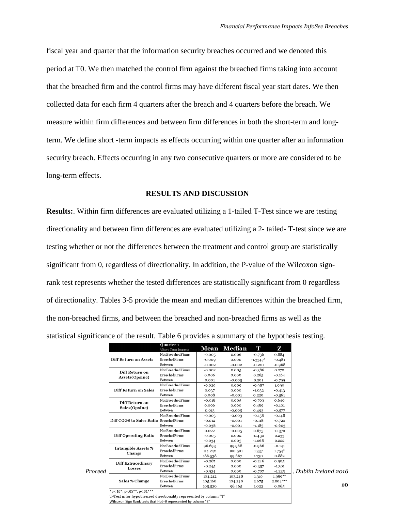fiscal year and quarter that the information security breaches occurred and we denoted this period at T0. We then matched the control firm against the breached firms taking into account that the breached firm and the control firms may have different fiscal year start dates. We then collected data for each firm 4 quarters after the breach and 4 quarters before the breach. We measure within firm differences and between firm differences in both the short-term and longterm. We define short -term impacts as effects occurring within one quarter after an information security breach. Effects occurring in any two consecutive quarters or more are considered to be long-term effects.

#### **RESULTS AND DISCUSSION**

**Results:**. Within firm differences are evaluated utilizing a 1-tailed T-Test since we are testing directionality and between firm differences are evaluated utilizing a 2- tailed- T-test since we are testing whether or not the differences between the treatment and control group are statistically significant from 0, regardless of directionality. In addition, the P-value of the Wilcoxon signrank test represents whether the tested differences are statistically significant from 0 regardless of directionality. Tables 3-5 provide the mean and median differences within the breached firm, the non-breached firms, and between the breached and non-breached firms as well as the statistical significance of the result. Table 6 provides a summary of the hypothesis testing.

|         |                                                                     | Ouarter 1<br>*Short Term Impacts | Mean     | Median   | т           | Z          |                     |
|---------|---------------------------------------------------------------------|----------------------------------|----------|----------|-------------|------------|---------------------|
|         |                                                                     | NonBreachedFirms                 | $-0.005$ | 0.006    | $-0.736$    | 0.884      |                     |
|         | Diff Return on Assets                                               | <b>BreachedFirms</b>             | $-0.009$ | 0.000    | $-1.3347$ * | $-0.481$   |                     |
|         |                                                                     | Between                          | $-0.002$ | $-0.002$ | $-0.210$    | $-0.968$   |                     |
|         | Diff Return on                                                      | NonBreachedFirms                 | $-0.002$ | 0.005    | $-0.386$    | 0.270      |                     |
|         | Assets(OpsInc)                                                      | <b>BreachedFirms</b>             | 0.006    | 0.000    | 0.265       | $-0.164$   |                     |
|         |                                                                     | Between                          | 0.001    | $-0.005$ | 0.201       | $-0.799$   |                     |
|         |                                                                     | NonBreachedFirms                 | $-0.020$ | 0.009    | $-0.987$    | 1.090      |                     |
|         | Diff Return on Sales                                                | <b>BreachedFirms</b>             | 0.037    | 0.000    | $-1.032$    | $-0.413$   |                     |
|         |                                                                     | Between                          | 0.008    | $-0.001$ | 0.220       | $-0.561$   |                     |
|         | Diff Return on                                                      | NonBreachedFirms                 | $-0.018$ | 0.005    | $-0.703$    | 0.640      |                     |
|         | Sales(OpsInc)                                                       | <b>BreachedFirms</b>             | 0.006    | 0.000    | 0.489       | $-0.101$   |                     |
|         |                                                                     | Between                          | 0.013    | $-0.005$ | 0.493       | $-0.577$   |                     |
|         |                                                                     | NonBreachedFirms                 | $-0.003$ | $-0.003$ | $-0.158$    | $-0.148$   |                     |
|         | Diff COGS to Sales Ratio BreachedFirms                              |                                  | $-0.012$ | $-0.001$ | $-0.118$    | $-0.720$   |                     |
|         |                                                                     | Between                          | $-0.038$ | $-0.001$ | $-1.185$    | $-0.603$   |                     |
|         | <b>Diff Operating Ratio</b>                                         | NonBreachedFirms                 | 0.022    | $-0.005$ | 0.675       | $-0.370$   |                     |
|         |                                                                     | <b>BreachedFirms</b>             | $-0.005$ | 0.002    | $-0.430$    | 0.233      |                     |
|         |                                                                     | Between                          | $-0.034$ | 0.005    | $-1.068$    | 0.222      |                     |
|         | <b>Intangible Assets %</b>                                          | NonBreachedFirms                 | 96.693   | 99.968   | $-0.966$    | $-0.141$   |                     |
|         | Change                                                              | <b>BreachedFirms</b>             | 114.242  | 100.501  | 1.337       | $1.754*$   |                     |
|         |                                                                     | Between                          | 186.538  | 99.667   | 1.730       | 0.882      |                     |
|         | <b>Diff Extraordinary</b>                                           | NonBreachedFirms                 | $-0.287$ | 0.000    | $-0.246$    | 0.005      |                     |
| Proceed | Losses                                                              | <b>BreachedFirms</b>             | $-0.245$ | 0.000    | $-0.357$    | $-1.301$   |                     |
|         |                                                                     | Between                          | $-0.934$ | 0.000    | $-0.707$    | $-1.225$   | Dublin Ireland 2016 |
|         |                                                                     | NonBreachedFirms                 | 104.212  | 103.248  | 1.319       | $1.989**$  |                     |
|         | Sales % Change                                                      | <b>BreachedFirms</b>             | 105.168  | 104.240  | 2.675       | $2.804***$ |                     |
|         |                                                                     | Between                          | 105-530  | 98.465   | 1.023       | 0.085      | 10                  |
|         | $"p<.10"; p<.05" "$ , p<.01"**                                      |                                  |          |          |             |            |                     |
|         | T-Test is for hypothesized directionality represented by column "T" |                                  |          |          |             |            |                     |
|         | Wilcoxon Sign Rank tests that Hol=0 represented by column "Z"       |                                  |          |          |             |            |                     |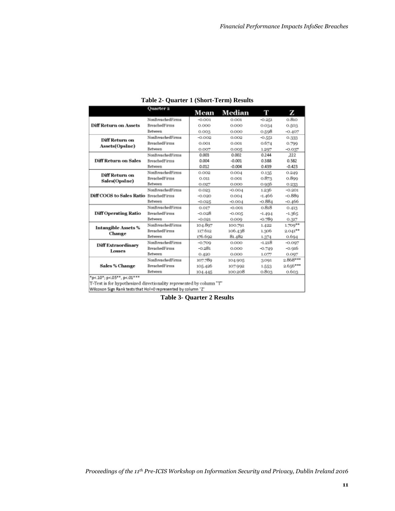|                              | Quarter 2            | Mean     | Median   | Т        | z          |
|------------------------------|----------------------|----------|----------|----------|------------|
|                              | NonBreachedFirms     | $-0.001$ | 0.001    | $-0.251$ | 0.810      |
| <b>Diff Return on Assets</b> | <b>BreachedFirms</b> | 0.000    | 0.000    | 0.034    | 0.503      |
|                              | Between              | 0.003    | 0.000    | 0.598    | $-0.407$   |
| Diff Return on               | NonBreachedFirms     | $-0.002$ | 0.002    | $-0.551$ | 0.333      |
|                              | <b>BreachedFirms</b> | 0.001    | 0.001    | 0.674    | 0.799      |
| Assets(OpsInc)               | Between              | 0.007    | 0.005    | 1.297    | $-0.037$   |
|                              | NonBreachedFirms     | 0.003    | 0.002    | 0.244    | ,222       |
| Diff Return on Sales         | <b>BreachedFirms</b> | 0.004    | $-0.001$ | 0.388    | 0.582      |
|                              | Between              | 0.012    | $-0.004$ | 0.439    | $-0.423$   |
| Diff Return on               | NonBreachedFirms     | 0.002    | 0.004    | 0.135    | 0.249      |
| Sales(OpsInc)                | <b>BreachedFirms</b> | 0.011    | 0.001    | 0.873    | 0.899      |
|                              | Between              | 0.027    | 0.000    | 0.956    | 0.233      |
|                              | NonBreachedFirms     | 0.023    | $-0.004$ | 1.236    | $-0.201$   |
| Diff COGS to Sales Ratio     | BreachedFirms        | $-0.020$ | 0.004    | $-1.466$ | $-0.889$   |
|                              | Between              | $-0.025$ | $-0.004$ | $-0.884$ | -0.466     |
|                              | NonBreachedFirms     | 0.017    | $-0.001$ | 0.818    | 0.413      |
| <b>Diff Operating Ratio</b>  | <b>BreachedFirms</b> | $-0.028$ | $-0.005$ | $-1.494$ | $-1.365$   |
|                              | Between              | $-0.021$ | 0.000    | $-0.789$ | 0.317      |
| <b>Intangible Assets %</b>   | NonBreachedFirms     | 104.897  | 100.791  | 1.422    | $1.709**$  |
| Change                       | <b>BreachedFirms</b> | 117.612  | 106.438  | 1.306    | $2.041***$ |
|                              | Between              | 176.602  | 81.482   | 1.374    | 0.694      |
| Diff Extraordinary           | NonBreachedFirms     | $-0.709$ | 0.000    | $-1.218$ | $-0.097$   |
| Losses                       | BreachedFirms        | $-0.281$ | 0.000    | $-0.749$ | $-0.916$   |
|                              | Between              | 0.420    | 0.000    | 1.077    | 0.007      |
|                              | NonBreachedFirms     | 107.789  | 104.905  | 3.091    | $2.868***$ |
| Sales % Change               | <b>BreachedFirms</b> | 105.426  | 107.992  | 1.553    | $2.656***$ |
|                              | Between              | 104.445  | 100.208  | 0.803    | 0.603      |

| Table 2- Quarter 1 (Short-Term) Results |  |  |  |
|-----------------------------------------|--|--|--|
|-----------------------------------------|--|--|--|

T-Test is for hypothesized directionality represented by column "T" Wilcoxon Sign Rank tests that Hol=0 represented by column "Z"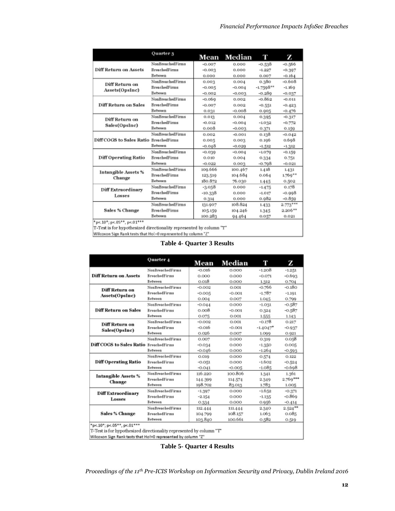|                                                        | Quarter 3               |          | Mean Median | Т           | z          |
|--------------------------------------------------------|-------------------------|----------|-------------|-------------|------------|
|                                                        | NonBreached Firms       | $-0.007$ | 0.000       | $-0.538$    | $-0.566$   |
| Diff Return on Assets                                  | <b>BreachedFirms</b>    | $-0.003$ | 0.000       | $-1.227$    | $-0.307$   |
|                                                        | <b>Between</b>          | 0.000    | 0.000       | 0.007       | $-0.164$   |
| Diff Return on                                         | NonBreachedFirms        | 0.003    | 0.004       | 0.380       | $-0.608$   |
| Assets(OpsInc)                                         | <b>BreachedFirms</b>    | $-0.005$ | $-0.004$    | $-1.7508**$ | $-1.160$   |
|                                                        | Between                 | $-0.002$ | $-0.003$    | $-0.280$    | $-0.037$   |
|                                                        | NonBreachedFirms        | $-0.069$ | 0.002       | $-0.862$    | $-0.011$   |
| Diff Return on Sales                                   | <b>BreachedFirms</b>    | $-0.007$ | 0.002       | $-0.551$    | $-0.423$   |
|                                                        | Between                 | 0.031    | $-0.008$    | 0.005       | $-0.476$   |
| Diff Return on                                         | NonBreached Firms       | 0.013    | 0.004       | 0.395       | $-0.317$   |
| Sales(OpsInc)                                          | <b>BreachedFirms</b>    | $-0.012$ | $-0.004$    | $-1.032$    | $-0.772$   |
|                                                        | Between                 | 0,008    | $-0.003$    | 0.371       | 0.159      |
|                                                        | NonBreachedFirms        | 0.002    | $-0.001$    | 0.138       | $-0.042$   |
| Diff COGS to Sales Ratio BreachedFirms                 |                         | 0.005    | 0.003       | 0.196       | 0.698      |
|                                                        | Between                 | $-0.048$ | $-0.020$    | $-1.512$    | $-1.312$   |
|                                                        | NonBreached Firms       | $-0.030$ | $-0.004$    | $-1.070$    | $-0.150$   |
| Diff Operating Ratio                                   | <b>BreachedFirms</b>    | 0.010    | 0.004       | 0.334       | 0.751      |
|                                                        | Between                 | $-0.022$ | 0.003       | $-0.798$    | $-0.021$   |
| Intangible Assets %                                    | NonBreached Firms       | 100.666  | 100.467     | 1.418       | 1431       |
| Change                                                 | <b>BreachedFirms</b>    | 123.519  | 104.684     | 0.064       | $1.769**$  |
|                                                        | Between                 | 180.872  | 76.030      | 1.445       | 0.502      |
| Diff Extraordinary                                     | <b>NonBreachedFirms</b> | $-3.058$ | 0.000       | $-1.475$    | 0.178      |
| Losses                                                 | <b>BreachedFirms</b>    | -10.338  | 0.000       | $-1.017$    | $-0.998$   |
|                                                        | Between                 | 0.314    | 0.000       | 0.982       | $-0.859$   |
|                                                        | <b>NonBreachedFirms</b> | 131.907  | 108.824     | 1.433       | $2.773***$ |
| Sales % Change                                         | <b>BreachedFirms</b>    | 105.159  | 104.246     | 1.345       | $2.206**$  |
|                                                        | Between                 | 100.283  | 94.464      | 0.057       | 0.021      |
| $*_{0.4}$ 10 <sup>+</sup> $_{0.4}$ 05** $_{0.4}$ 01*** |                         |          |             |             |            |

\*p<.10\*; p<.05\*\*, p<.01\*\*\*<br>T-Test is for hypothesized directionality represented by column "T"

Wilcoxon Sign Rank tests that Hol-O represented by column "Z"

|  | <b>Table 4- Quarter 3 Results</b> |  |
|--|-----------------------------------|--|
|--|-----------------------------------|--|

|                                                                                                                                                                    | Quarter 4               | Mean     | Median   | Т           | z          |
|--------------------------------------------------------------------------------------------------------------------------------------------------------------------|-------------------------|----------|----------|-------------|------------|
|                                                                                                                                                                    | NonBreachedFirms        | $-0.016$ | 0.000    | $-1.208$    | $-1.251$   |
| Diff Return on Assets                                                                                                                                              | <b>BreachedFirms</b>    | 0.000    | 0.000    | $-0.071$    | $-0.693$   |
|                                                                                                                                                                    | Between                 | 0.018    | 0.000    | 1.312       | 0.704      |
| Diff Return on                                                                                                                                                     | <b>NonBreachedFirms</b> | $-0.002$ | 0.001    | $-0.766$    | $-0.180$   |
| Assets(OpsInc)                                                                                                                                                     | <b>BreachedFirms</b>    | $-0.005$ | $-0.001$ | $-1.787$    | $-1.191$   |
|                                                                                                                                                                    | Between                 | 0.004    | 0.007    | 1.045       | 0.799      |
|                                                                                                                                                                    | <b>NonBreachedFirms</b> | $-0.044$ | 0.000    | $-1.031$    | $-0.587$   |
| <b>Diff Return on Sales</b>                                                                                                                                        | <b>BreachedFirms</b>    | 0.008    | $-0.001$ | 0.324       | $-0.587$   |
|                                                                                                                                                                    | Between                 | 0.075    | 0.001    | 1,555       | 1.143      |
| Diff Return on                                                                                                                                                     | NonBreachedFirms        | $-0.002$ | 0.001    | $-0.178$    | 0.217      |
| Sales(OpsInc)                                                                                                                                                      | <b>BreachedFirms</b>    | $-0.016$ | $-0.001$ | $-1.4047$ * | $-0.937$   |
|                                                                                                                                                                    | <b>Between</b>          | 0.026    | 0.007    | 1.099       | 0.921      |
|                                                                                                                                                                    | NonBreachedFirms        | 0.007    | 0.000    | 0.319       | 0.058      |
| <b>Diff COGS to Sales Ratio BreachedFirms</b>                                                                                                                      |                         | $-0.034$ | 0.000    | $-1.350$    | 0.005      |
|                                                                                                                                                                    | <b>Between</b>          | -0.046   | 0.000    | $-1.264$    | $-0.593$   |
|                                                                                                                                                                    | NonBreachedFirms        | 0.019    | 0.000    | 0.574       | 0.122      |
| <b>Diff Operating Ratio</b>                                                                                                                                        | <b>BreachedFirms</b>    | $-0.051$ | 0.000    | $-1.602$    | $-0.524$   |
|                                                                                                                                                                    | Between                 | $-0.041$ | $-0.005$ | $-1.085$    | -0.698     |
| <b>Intangible Assets %</b>                                                                                                                                         | NonBreachedFirms        | 116.220  | 100.806  | 1.341       | 1.361      |
| Change                                                                                                                                                             | <b>BreachedFirms</b>    | 144.399  | 114.574  | 2.349       | $2.769***$ |
|                                                                                                                                                                    | <b>Between</b>          | 198.702  | 83.013   | 1.783       | 1.005      |
| <b>Diff Extraordinary</b>                                                                                                                                          | NonBreachedFirms        | $-1.397$ | 0.000    | $-1.652$    | $-0.371$   |
| Losses                                                                                                                                                             | <b>BreachedFirms</b>    | $-2.154$ | 0.000    | $-1.135$    | -0.869     |
|                                                                                                                                                                    | Between                 | 0.334    | 0.000    | 0.956       | $-0.414$   |
|                                                                                                                                                                    | NonBreachedFirms        | 112.444  | 111.444  | 2.340       | $2.524***$ |
| Sales % Change                                                                                                                                                     | <b>BreachedFirms</b>    | 104.799  | 108.157  | 1.063       | 0.085      |
|                                                                                                                                                                    | Between                 | 103.840  | 100.661  | 0.582       | 0.519      |
| *p<.10*; p<.05**, p<.01***<br>T-Test is for hypothesized directionality represented by column "T"<br>Wilcoxon Sign Rank tests that Hol=0 represented by column "Z" |                         |          |          |             |            |

**Table 5- Quarter 4 Results**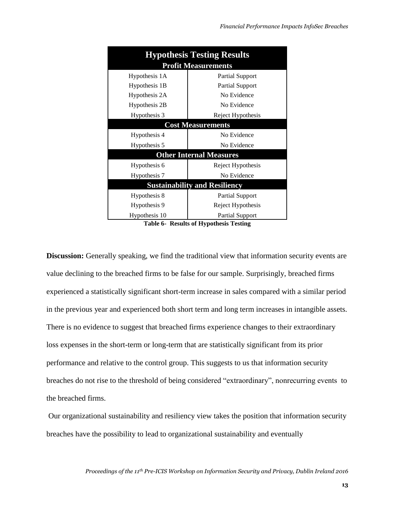| <b>Hypothesis Testing Results</b>    |                        |  |  |  |
|--------------------------------------|------------------------|--|--|--|
| <b>Profit Measurements</b>           |                        |  |  |  |
| Hypothesis 1A                        | <b>Partial Support</b> |  |  |  |
| Hypothesis 1B                        | <b>Partial Support</b> |  |  |  |
| Hypothesis 2A                        | No Evidence            |  |  |  |
| Hypothesis 2B                        | No Evidence            |  |  |  |
| Hypothesis 3                         | Reject Hypothesis      |  |  |  |
| <b>Cost Measurements</b>             |                        |  |  |  |
| Hypothesis 4                         | No Evidence            |  |  |  |
| Hypothesis 5                         | No Evidence            |  |  |  |
| <b>Other Internal Measures</b>       |                        |  |  |  |
| Hypothesis 6                         | Reject Hypothesis      |  |  |  |
| Hypothesis 7                         | No Evidence            |  |  |  |
| <b>Sustainability and Resiliency</b> |                        |  |  |  |
| Hypothesis 8                         | <b>Partial Support</b> |  |  |  |
| Hypothesis 9                         | Reject Hypothesis      |  |  |  |
| Hypothesis 10                        | <b>Partial Support</b> |  |  |  |

**Table 6- Results of Hypothesis Testing**

**Discussion:** Generally speaking, we find the traditional view that information security events are value declining to the breached firms to be false for our sample. Surprisingly, breached firms experienced a statistically significant short-term increase in sales compared with a similar period in the previous year and experienced both short term and long term increases in intangible assets. There is no evidence to suggest that breached firms experience changes to their extraordinary loss expenses in the short-term or long-term that are statistically significant from its prior performance and relative to the control group. This suggests to us that information security breaches do not rise to the threshold of being considered "extraordinary", nonrecurring events to the breached firms.

Our organizational sustainability and resiliency view takes the position that information security breaches have the possibility to lead to organizational sustainability and eventually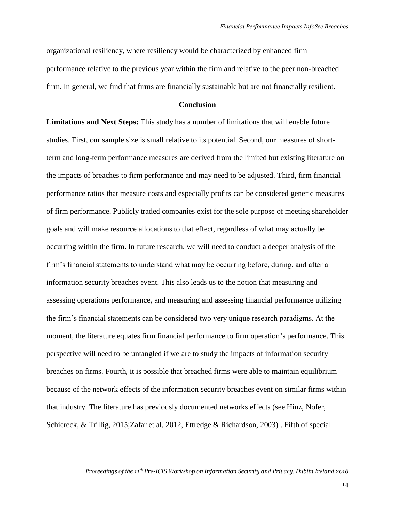organizational resiliency, where resiliency would be characterized by enhanced firm performance relative to the previous year within the firm and relative to the peer non-breached firm. In general, we find that firms are financially sustainable but are not financially resilient.

#### **Conclusion**

**Limitations and Next Steps:** This study has a number of limitations that will enable future studies. First, our sample size is small relative to its potential. Second, our measures of shortterm and long-term performance measures are derived from the limited but existing literature on the impacts of breaches to firm performance and may need to be adjusted. Third, firm financial performance ratios that measure costs and especially profits can be considered generic measures of firm performance. Publicly traded companies exist for the sole purpose of meeting shareholder goals and will make resource allocations to that effect, regardless of what may actually be occurring within the firm. In future research, we will need to conduct a deeper analysis of the firm's financial statements to understand what may be occurring before, during, and after a information security breaches event. This also leads us to the notion that measuring and assessing operations performance, and measuring and assessing financial performance utilizing the firm's financial statements can be considered two very unique research paradigms. At the moment, the literature equates firm financial performance to firm operation's performance. This perspective will need to be untangled if we are to study the impacts of information security breaches on firms. Fourth, it is possible that breached firms were able to maintain equilibrium because of the network effects of the information security breaches event on similar firms within that industry. The literature has previously documented networks effects (see Hinz, Nofer, Schiereck, & Trillig, 2015;Zafar et al, 2012, Ettredge & Richardson, 2003) . Fifth of special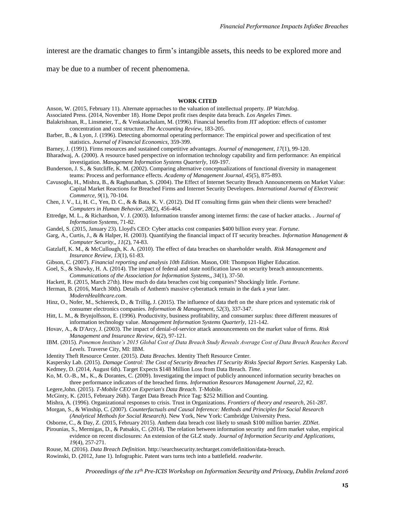interest are the dramatic changes to firm's intangible assets, this needs to be explored more and

may be due to a number of recent phenomena.

#### **WORK CITED**

Anson, W. (2015, February 11). Alternate approaches to the valuation of intellectual property. *IP Watchdog*.

Associated Press. (2014, November 18). Home Depot profit rises despite data breach. *Los Angeles Times*.

Balakrishnan, R., Linsmeier, T., & Venkatachalam, M. (1996). Financial benefits from JIT adoption: effects of customer concentration and cost structure. *The Accounting Review*, 183-205.

Barber, B., & Lyon, J. (1996). Detecting abornormal operating performance: The empirical power and specification of test statistics. *Journal of Financial Economics*, 359-399.

Barney, J. (1991). Firms resources and sustained competitive advantages. *Journal of management, 17*(1), 99-120.

- Bharadwaj, A. (2000). A resource based perspective on information technology capability and firm performance: An empirical investigation. *Management Information Systems Quarterly*, 169-197.
- Bunderson, J. S., & Sutcliffe, K. M. (2002). Comparing alternative conceptualizations of functional diversity in management teams: Process and performance effects. *Academy of Management Journal, 45*(5), 875-893.
- Cavusoglu, H., Mishra, B., & Raghunathan, S. (2004). The Effect of Internet Security Breach Announcements on Market Value: Capital Market Reactions for Breached Firms and Internet Security Developers. *International Journal of Electronic Commerce, 9*(1), 70-104.
- Chen, J. V., Li, H. C., Yen, D. C., & & Bata, K. V. (2012). Did IT consulting firms gain when their clients were breached? *Computers in Human Behavior, 28*(2), 456-464.
- Ettredge, M. L., & Richardson, V. J. (2003). Information transfer among internet firms: the case of hacker attacks. . *Journal of Information Systems*, 71-82.
- Gandel, S. (2015, January 23). Lloyd's CEO: Cyber attacks cost companies \$400 billion every year. *Fortune*.

Garg, A., Curtis, J., & & Halper, H. (2003). Quantifying the financial impact of IT security breaches. *Information Management & Computer Security,, 11*(2), 74-83.

- Gatzlaff, K. M., & McCullough, K. A. (2010). The effect of data breaches on shareholder wealth. *Risk Management and Insurance Review, 13*(1), 61-83.
- Gibson, C. (2007). *Financial reporting and analysis 10th Edition.* Mason, OH: Thompson Higher Education.
- Goel, S., & Shawky, H. A. (2014). The impact of federal and state notification laws on security breach announcements. *Communications of the Association for Information Systems,, 34*(1), 37-50.
- Hackett, R. (2015, March 27th). How much do data breaches cost big companies? Shockingly little. *Fortune*.
- Herman, B. (2016, March 30th). Details of Anthem's massive cyberattack remain in the dark a year later. *ModernHealthcare.com*.
- Hinz, O., Nofer, M., Schiereck, D., & Trillig, J. (2015). The influence of data theft on the share prices and systematic risk of consumer electronics companies. *Information & Management, 52*(3), 337-347.
- Hitt, L. M., & Brynjolfsson, E. (1996). Productivity, business profitability, and consumer surplus: three different measures of information technology value. *Management Information Systems Quarterly*, 121-142.
- Hovav, A., & D'Arcy, J. (2003). The impact of denial‐of‐service attack announcements on the market value of firms. *Risk Management and Insurance Review, 6*(2), 97-121.
- IBM. (2015). *Ponemon Institute's 2015 Global Cost of Data Breach Study Reveals Average Cost of Data Breach Reaches Record Levels.* Traverse City, MI: IBM.
- Identity Theft Resource Center. (2015). *Data Breaches.* Identity Theft Resource Center.
- Kaspersky Lab. (2015). *Damage Control: The Cost of Security Breaches IT Security Risks Special Report Series.* Kaspersky Lab. Kedmey, D. (2014, August 6th). Target Expects \$148 Million Loss from Data Breach. *Time*.
- Ko, M. O.-B., M., K., & Dorantes, C. (2009). Investigating the impact of publicly announced information security breaches on
- three performance indicators of the breached firms. *Information Resources Management Journal, 22*, #2.

Legere,John. (2015). *T-Mobile CEO on Experian's Data Breach.* T-Mobile.

- McGinty, K. (2015, February 26th). Target Data Breach Price Tag: \$252 Million and Counting.
- Mishra, A. (1996). Organizational responses to crisis. Trust in Organizations. *Frontiers of theory and research*, 261-287.
- Morgan, S., & Winship, C. (2007). *Counterfactuals and Causal Inference: Methods and Principles for Social Research (Analytical Methods for Social Research).* New York, New York: Cambridge University Press.
- Osborne, C., & Day, Z. (2015, February 2015). Anthem data breach cost likely to smash \$100 million barrier. *ZDNet*.
- Pirounias, S., Mermigas, D., & Patsakis, C. (2014). The relation between information security and firm market value, empirical evidence on recent disclosures: An extension of the GLZ study. *Journal of Information Security and Applications, 19*(4), 257-271.
- Rouse, M. (2016). *Data Breach Definition.* http://searchsecurity.techtarget.com/definition/data-breach.
- Rowinski, D. (2012, June 1). Infographic. Patent wars turns tech into a battlefield. *readwrite*.